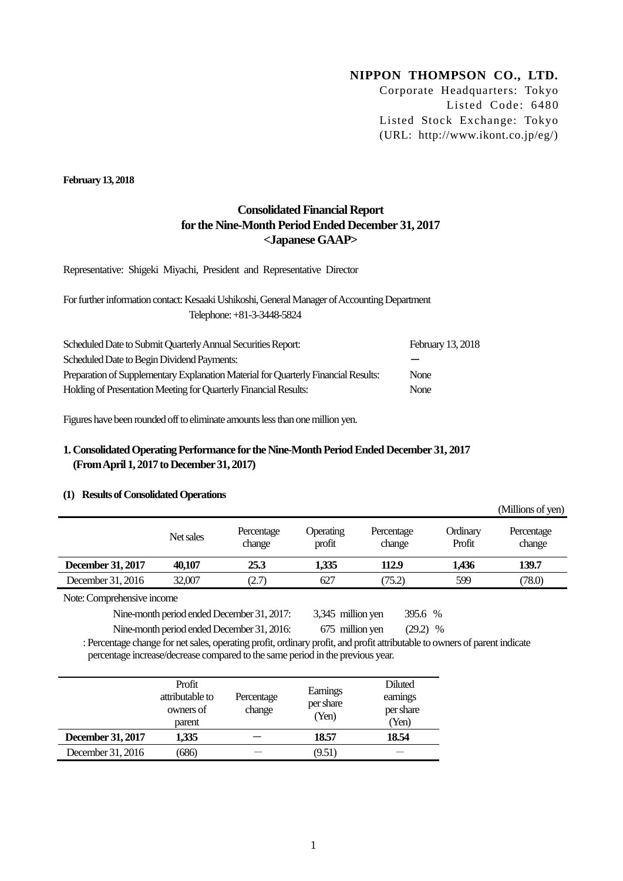# **NIPPON THOMPSON CO., LTD.**

Corporate Headquarters: Tokyo Listed Code: 6480 Listed Stock Exchange: Tokyo (URL: http://www.ikont.co.jp/eg/)

 $\alpha$   $\mathbf{r}$   $\mathbf{u}$   $\mathbf{r}$   $\alpha$   $\beta$ 

**February 13, 2018**

# **Consolidated Financial Report for the Nine-Month Period Ended December 31, 2017 <Japanese GAAP>**

Representative: Shigeki Miyachi, President and Representative Director

For further information contact: Kesaaki Ushikoshi, General Manager of Accounting Department Telephone: +81-3-3448-5824

| Scheduled Date to Submit Quarterly Annual Securities Report:                       | February 13, 2018 |
|------------------------------------------------------------------------------------|-------------------|
| Scheduled Date to Begin Dividend Payments:                                         |                   |
| Preparation of Supplementary Explanation Material for Quarterly Financial Results: | None              |
| Holding of Presentation Meeting for Quarterly Financial Results:                   | None              |

Figures have been rounded off to eliminate amounts less than one million yen.

## **1. Consolidated Operating Performance for the Nine-Month PeriodEnded December 31, 2017 (From April 1, 2017 to December 31, 2017)**

## **(1) Results of Consolidated Operations**

|                               |           |                      |                            |                      |                    | (VIIIIIOIIS OL YEIL) |
|-------------------------------|-----------|----------------------|----------------------------|----------------------|--------------------|----------------------|
|                               | Net sales | Percentage<br>change | <b>Operating</b><br>profit | Percentage<br>change | Ordinary<br>Profit | Percentage<br>change |
| December 31, 2017             | 40.107    | 25.3                 | 1,335                      | 112.9                | 1.436              | 139.7                |
| December 31, 2016             | 32,007    | (2.7)                | 627                        | (75.2)               | 599                | (78.0)               |
| $\mathbf{r}$ and $\mathbf{r}$ |           |                      |                            |                      |                    |                      |

Note: Comprehensive income

Nine-month period ended December 31, 2017: 3,345 million yen 395.6 %

Nine-month period ended December 31, 2016: 675 million yen (29.2) %

: Percentage change for net sales, operating profit, ordinary profit, and profit attributable to owners of parent indicate percentage increase/decrease compared to the same period in the previous year.

|                   | Profit<br>attributable to<br>owners of<br>parent | Percentage<br>change | Earnings<br>per share<br>(Yen) | Diluted<br>earnings<br>per share<br>(Yen) |
|-------------------|--------------------------------------------------|----------------------|--------------------------------|-------------------------------------------|
| December 31, 2017 | 1,335                                            |                      | 18.57                          | 18.54                                     |
| December 31, 2016 | 686)                                             |                      | (9.51)                         |                                           |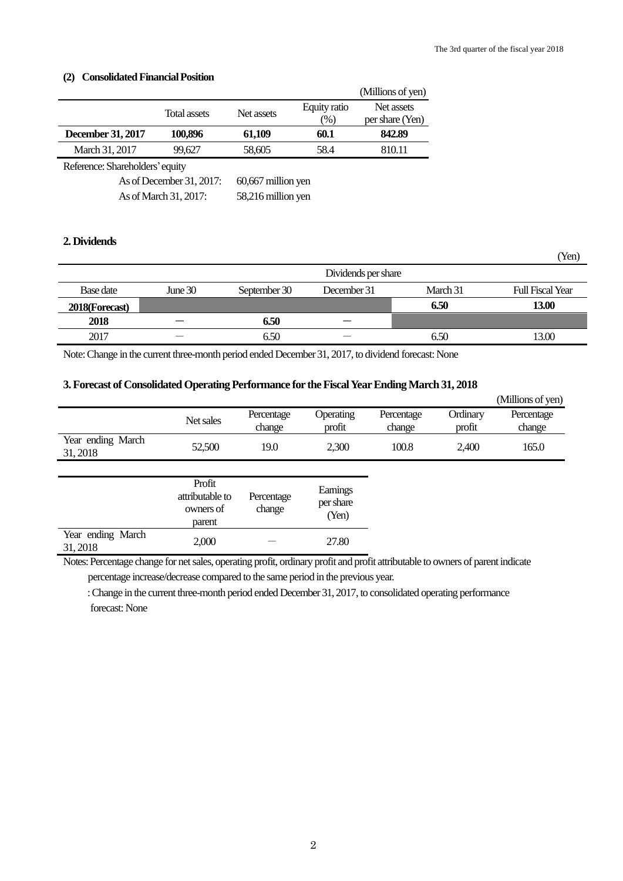#### **(2) Consolidated Financial Position**

|                                |              |            |                 | (Millions of yen) |  |
|--------------------------------|--------------|------------|-----------------|-------------------|--|
|                                | Total assets | Net assets | Equity ratio    | Net assets        |  |
|                                |              |            | $\frac{(0)}{0}$ | per share (Yen)   |  |
| December 31, 2017              | 100,896      | 61,109     | 60.1            | 842.89            |  |
| March 31, 2017                 | 99.627       | 58,605     | 58.4            | 810.11            |  |
| Reference: Shamholders' equity |              |            |                 |                   |  |

Reference: Shareholders'equity

As of December 31, 2017: 60,667 million yen As of March 31, 2017: 58,216 million yen

## **2. Dividends**

|                |         |              | Dividends per share |          |                         |
|----------------|---------|--------------|---------------------|----------|-------------------------|
| Base date      | June 30 | September 30 | December 31         | March 31 | <b>Full Fiscal Year</b> |
| 2018(Forecast) |         |              |                     | 6.50     | 13.00                   |
| 2018           |         | 6.50         |                     |          |                         |
| 2017           |         | 6.50         |                     | 6.50     | 13.00                   |

Note:Change in the current three-month period ended December 31, 2017, to dividend forecast: None

### **3. Forecast of Consolidated Operating Performance for the Fiscal Year Ending March 31, 2018**

|                               |                                                  |                      |                                |                      |                    | (Millions of yen)    |
|-------------------------------|--------------------------------------------------|----------------------|--------------------------------|----------------------|--------------------|----------------------|
|                               | Net sales                                        | Percentage<br>change | Operating<br>profit            | Percentage<br>change | Ordinary<br>profit | Percentage<br>change |
| Year ending March<br>31, 2018 | 52,500                                           | 19.0                 | 2,300                          | 100.8                | 2,400              | 165.0                |
|                               |                                                  |                      |                                |                      |                    |                      |
|                               | Profit<br>attributable to<br>owners of<br>parent | Percentage<br>change | Earnings<br>per share<br>(Yen) |                      |                    |                      |
| Year ending March<br>31, 2018 | 2,000                                            |                      | 27.80                          |                      |                    |                      |

Notes: Percentage change for net sales, operating profit, ordinary profit and profit attributable to owners of parent indicate percentage increase/decrease compared to the same period in the previous year.

: Change in the current three-month period ended December 31, 2017, to consolidated operating performance forecast: None

(Yen)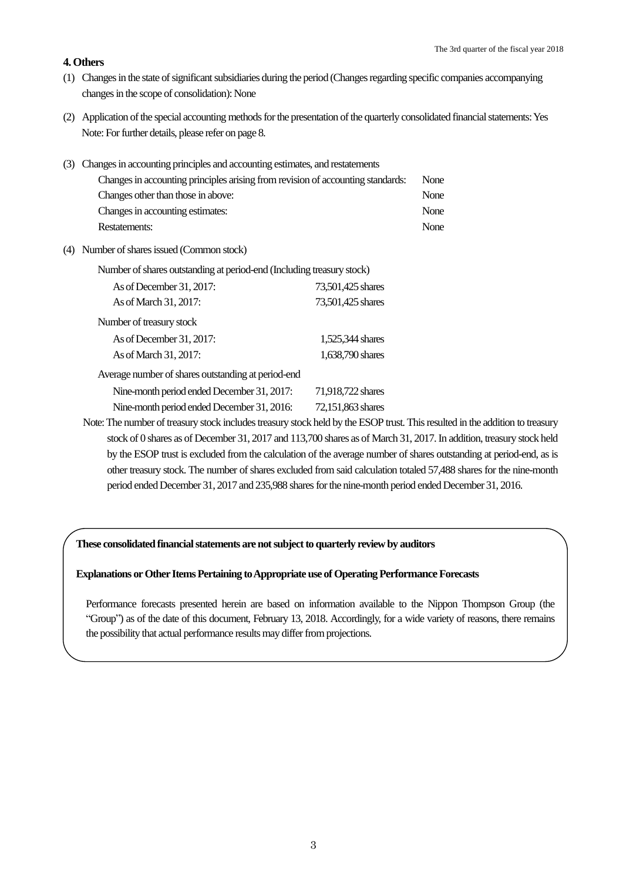#### **4. Others**

 $\overline{\phantom{a}}$ 

- (1) Changes in the state of significant subsidiaries during the period (Changes regarding specific companies accompanying changes in the scope of consolidation): None
- (2) Application of the special accounting methods for the presentation of the quarterly consolidated financial statements: Yes Note: For further details, please refer on page 8.

| (3) Changes in accounting principles and accounting estimates, and restatements |      |
|---------------------------------------------------------------------------------|------|
| Changes in accounting principles arising from revision of accounting standards: | None |
| Changes other than those in above:                                              | None |
| Changes in accounting estimates:                                                | None |
| Restatements:                                                                   | None |
|                                                                                 |      |

(4) Number of shares issued (Common stock)

| Number of shares outstanding at period-end (Including treasury stock) |                   |  |  |  |  |
|-----------------------------------------------------------------------|-------------------|--|--|--|--|
| As of December 31, 2017:                                              | 73,501,425 shares |  |  |  |  |
| As of March 31, 2017:                                                 | 73,501,425 shares |  |  |  |  |
| Number of treasury stock                                              |                   |  |  |  |  |
| As of December 31, 2017:                                              | 1,525,344 shares  |  |  |  |  |
| As of March 31, 2017:                                                 | 1,638,790 shares  |  |  |  |  |
| Average number of shares outstanding at period-end                    |                   |  |  |  |  |
| Nine-month period ended December 31, 2017:                            | 71,918,722 shares |  |  |  |  |
| Nine-month period ended December 31, 2016:                            | 72,151,863 shares |  |  |  |  |

Note: The number of treasury stock includes treasury stock held by the ESOP trust. This resulted in the addition to treasury stock of 0 shares as of December 31, 2017 and 113,700 shares as of March 31, 2017. In addition, treasury stock held by the ESOP trust is excluded from the calculation of the average number of shares outstanding at period-end, as is other treasury stock. The number of shares excluded from said calculation totaled 57,488 shares for the nine-month period ended December 31, 2017 and 235,988 shares for the nine-month period ended December 31, 2016.

## **These consolidated financial statements are not subject to quarterly review by auditors**

#### **Explanations or Other Items Pertaining to Appropriate use of Operating PerformanceForecasts**

Performance forecasts presented herein are based on information available to the Nippon Thompson Group (the "Group") as of the date of this document, February 13, 2018. Accordingly, for a wide variety of reasons, there remains the possibility that actual performance results may differ from projections.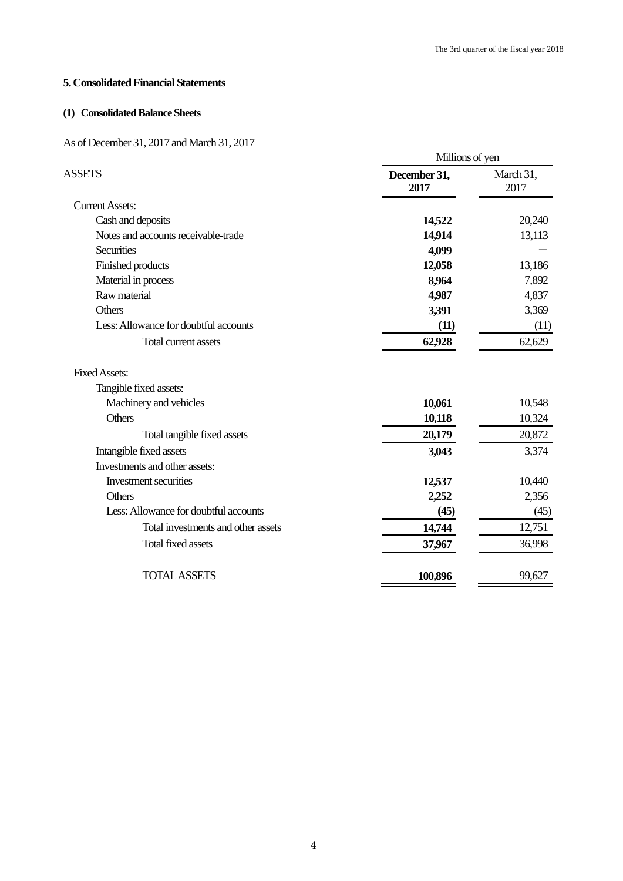## **5. Consolidated Financial Statements**

## **(1) Consolidated Balance Sheets**

## As of December 31, 2017 and March 31, 2017

|                                       | Millions of yen      |                   |  |
|---------------------------------------|----------------------|-------------------|--|
| <b>ASSETS</b>                         | December 31,<br>2017 | March 31,<br>2017 |  |
| <b>Current Assets:</b>                |                      |                   |  |
| Cash and deposits                     | 14,522               | 20,240            |  |
| Notes and accounts receivable-trade   | 14,914               | 13,113            |  |
| <b>Securities</b>                     | 4,099                |                   |  |
| Finished products                     | 12,058               | 13,186            |  |
| Material in process                   | 8,964                | 7,892             |  |
| Raw material                          | 4,987                | 4,837             |  |
| Others                                | 3,391                | 3,369             |  |
| Less: Allowance for doubtful accounts | (11)                 | (11)              |  |
| Total current assets                  | 62,928               | 62,629            |  |
| <b>Fixed Assets:</b>                  |                      |                   |  |
| Tangible fixed assets:                |                      |                   |  |
| Machinery and vehicles                | 10,061               | 10,548            |  |
| Others                                | 10,118               | 10,324            |  |
| Total tangible fixed assets           | 20,179               | 20,872            |  |
| Intangible fixed assets               | 3,043                | 3,374             |  |
| Investments and other assets:         |                      |                   |  |
| Investment securities                 | 12,537               | 10,440            |  |
| <b>Others</b>                         | 2,252                | 2,356             |  |
| Less: Allowance for doubtful accounts | (45)                 | (45)              |  |
| Total investments and other assets    | 14,744               | 12,751            |  |
| <b>Total fixed assets</b>             | 37,967               | 36,998            |  |
| <b>TOTAL ASSETS</b>                   | 100,896              | 99,627            |  |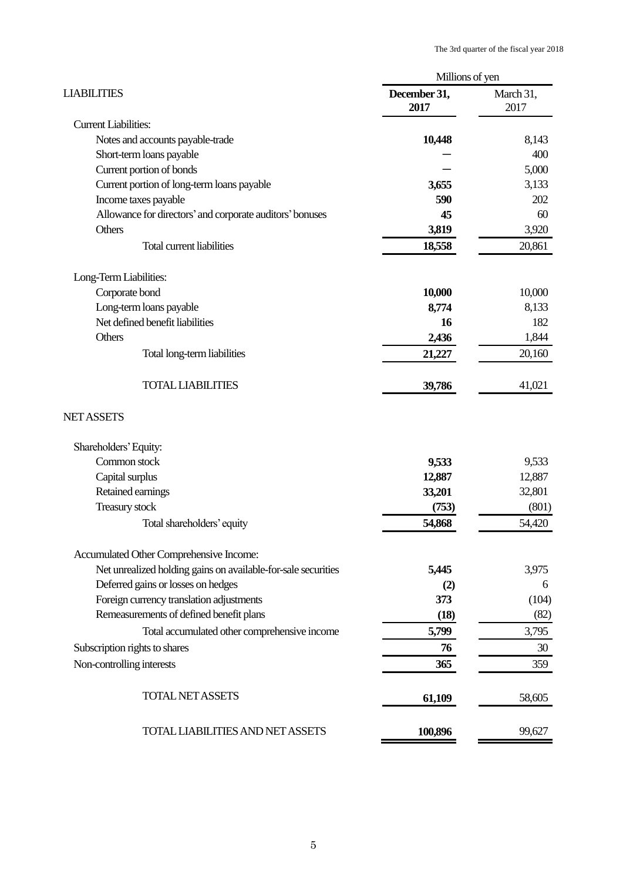|                                                               | Millions of yen      |                   |
|---------------------------------------------------------------|----------------------|-------------------|
| <b>LIABILITIES</b>                                            | December 31,<br>2017 | March 31,<br>2017 |
| <b>Current Liabilities:</b>                                   |                      |                   |
| Notes and accounts payable-trade                              | 10,448               | 8,143             |
| Short-term loans payable                                      |                      | 400               |
| Current portion of bonds                                      |                      | 5,000             |
| Current portion of long-term loans payable                    | 3,655                | 3,133             |
| Income taxes payable                                          | 590                  | 202               |
| Allowance for directors' and corporate auditors' bonuses      | 45                   | 60                |
| Others                                                        | 3,819                | 3,920             |
| <b>Total current liabilities</b>                              | 18,558               | 20,861            |
| Long-Term Liabilities:                                        |                      |                   |
| Corporate bond                                                | 10,000               | 10,000            |
| Long-term loans payable                                       | 8,774                | 8,133             |
| Net defined benefit liabilities                               | 16                   | 182               |
| Others                                                        | 2,436                | 1,844             |
| Total long-term liabilities                                   | 21,227               | 20,160            |
| <b>TOTAL LIABILITIES</b>                                      | 39,786               | 41,021            |
| <b>NET ASSETS</b>                                             |                      |                   |
| Shareholders' Equity:                                         |                      |                   |
| Common stock                                                  | 9,533                | 9,533             |
| Capital surplus                                               | 12,887               | 12,887            |
| Retained earnings                                             | 33,201               | 32,801            |
| <b>Treasury stock</b>                                         | (753)                | (801)             |
| Total shareholders' equity                                    | 54,868               | 54,420            |
| Accumulated Other Comprehensive Income:                       |                      |                   |
| Net unrealized holding gains on available-for-sale securities | 5,445                | 3,975             |
| Deferred gains or losses on hedges                            | (2)                  | 6                 |
| Foreign currency translation adjustments                      | 373                  | (104)             |
| Remeasurements of defined benefit plans                       | (18)                 | (82)              |
| Total accumulated other comprehensive income                  | 5,799                | 3,795             |
| Subscription rights to shares                                 | 76                   | 30                |
| Non-controlling interests                                     | 365                  | 359               |
| <b>TOTAL NET ASSETS</b>                                       | 61,109               | 58,605            |
| TOTAL LIABILITIES AND NET ASSETS                              | 100,896              | 99,627            |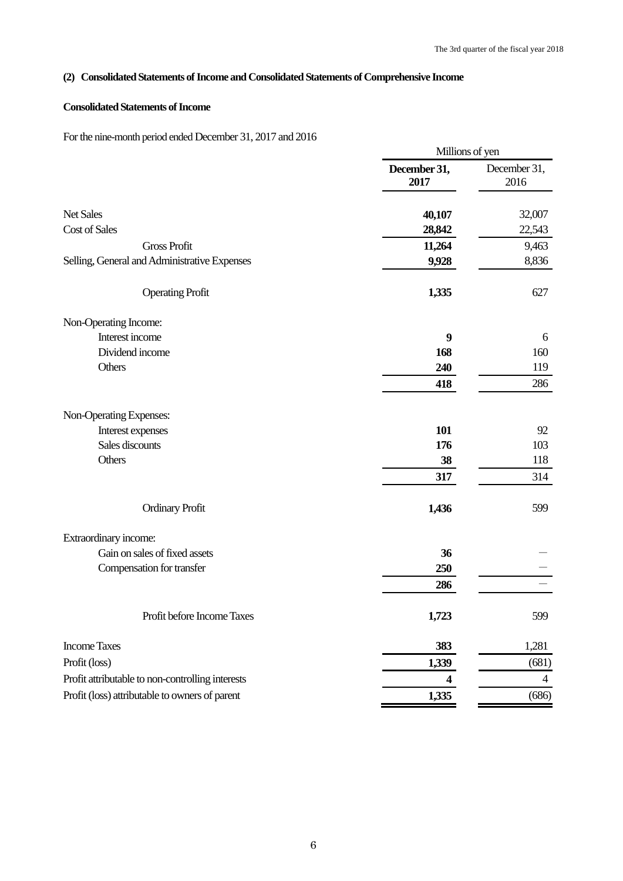# **(2) Consolidated Statements of Income and Consolidated Statements of Comprehensive Income**

## **Consolidated Statements of Income**

For the nine-month period ended December 31, 2017 and 2016

|                                                  |                      | Millions of yen      |
|--------------------------------------------------|----------------------|----------------------|
|                                                  | December 31,<br>2017 | December 31,<br>2016 |
| Net Sales                                        | 40,107               | 32,007               |
| <b>Cost of Sales</b>                             | 28,842               | 22,543               |
| <b>Gross Profit</b>                              | 11,264               | 9,463                |
| Selling, General and Administrative Expenses     | 9,928                | 8,836                |
| <b>Operating Profit</b>                          | 1,335                | 627                  |
| Non-Operating Income:                            |                      |                      |
| Interest income                                  | 9                    | 6                    |
| Dividend income                                  | 168                  | 160                  |
| Others                                           | 240                  | 119                  |
|                                                  | 418                  | 286                  |
| Non-Operating Expenses:                          |                      |                      |
| Interest expenses                                | 101                  | 92                   |
| Sales discounts                                  | 176                  | 103                  |
| Others                                           | 38                   | 118                  |
|                                                  | 317                  | 314                  |
| <b>Ordinary Profit</b>                           | 1,436                | 599                  |
| Extraordinary income:                            |                      |                      |
| Gain on sales of fixed assets                    | 36                   |                      |
| Compensation for transfer                        | 250                  |                      |
|                                                  | 286                  |                      |
| Profit before Income Taxes                       | 1,723                | 599                  |
| <b>Income Taxes</b>                              | 383                  | 1,281                |
| Profit (loss)                                    | 1,339                | (681)                |
| Profit attributable to non-controlling interests | 4                    | 4                    |
| Profit (loss) attributable to owners of parent   | 1,335                | (686)                |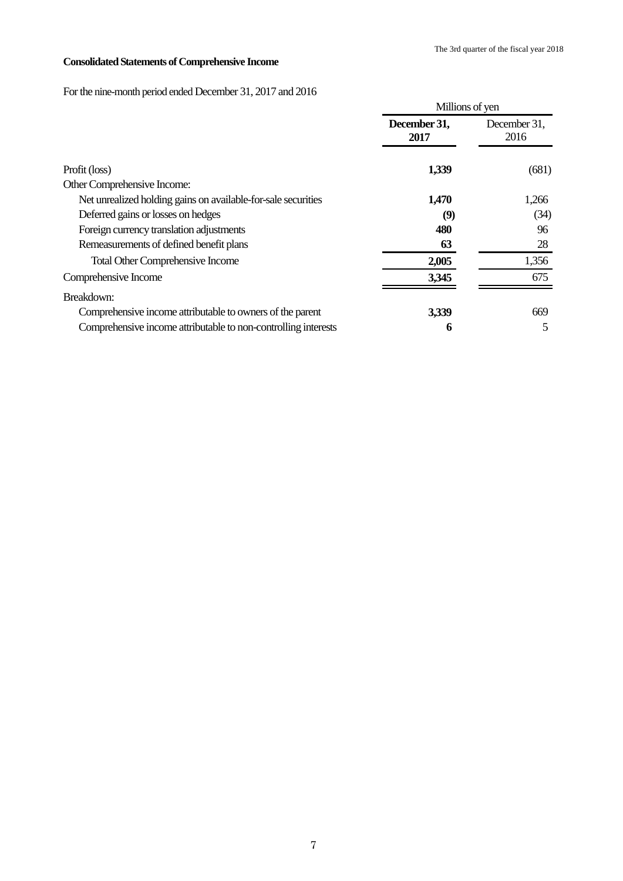# **Consolidated Statements of Comprehensive Income**

For the nine-month period ended December 31, 2017 and 2016

|                                                                |                      | Millions of yen      |  |  |
|----------------------------------------------------------------|----------------------|----------------------|--|--|
|                                                                | December 31,<br>2017 | December 31,<br>2016 |  |  |
| Profit (loss)                                                  | 1,339                | (681)                |  |  |
| Other Comprehensive Income:                                    |                      |                      |  |  |
| Net unrealized holding gains on available-for-sale securities  | 1,470                | 1,266                |  |  |
| Deferred gains or losses on hedges                             | (9)                  | (34)                 |  |  |
| Foreign currency translation adjustments                       | 480                  | 96                   |  |  |
| Remeasurements of defined benefit plans                        | 63                   | 28                   |  |  |
| <b>Total Other Comprehensive Income</b>                        | 2,005                | 1,356                |  |  |
| Comprehensive Income                                           | 3,345                | 675                  |  |  |
| Breakdown:                                                     |                      |                      |  |  |
| Comprehensive income attributable to owners of the parent      | 3,339                | 669                  |  |  |
| Comprehensive income attributable to non-controlling interests | 6                    | 5                    |  |  |